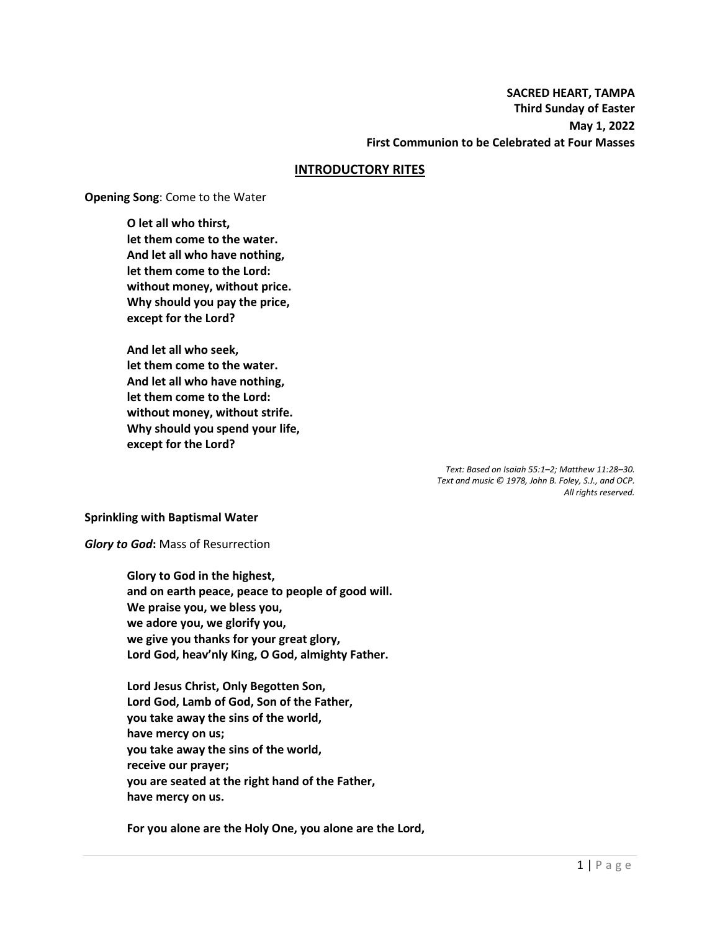**SACRED HEART, TAMPA Third Sunday of Easter May 1, 2022 First Communion to be Celebrated at Four Masses**

#### **INTRODUCTORY RITES**

**Opening Song**: Come to the Water

**O let all who thirst, let them come to the water. And let all who have nothing, let them come to the Lord: without money, without price. Why should you pay the price, except for the Lord?**

**And let all who seek, let them come to the water. And let all who have nothing, let them come to the Lord: without money, without strife. Why should you spend your life, except for the Lord?**

> *Text: Based on Isaiah 55:1–2; Matthew 11:28–30. Text and music © 1978, John B. Foley, S.J., and OCP. All rights reserved.*

#### **Sprinkling with Baptismal Water**

*Glory to God***:** Mass of Resurrection

**Glory to God in the highest, and on earth peace, peace to people of good will. We praise you, we bless you, we adore you, we glorify you, we give you thanks for your great glory, Lord God, heav'nly King, O God, almighty Father.**

**Lord Jesus Christ, Only Begotten Son, Lord God, Lamb of God, Son of the Father, you take away the sins of the world, have mercy on us; you take away the sins of the world, receive our prayer; you are seated at the right hand of the Father, have mercy on us.**

**For you alone are the Holy One, you alone are the Lord,**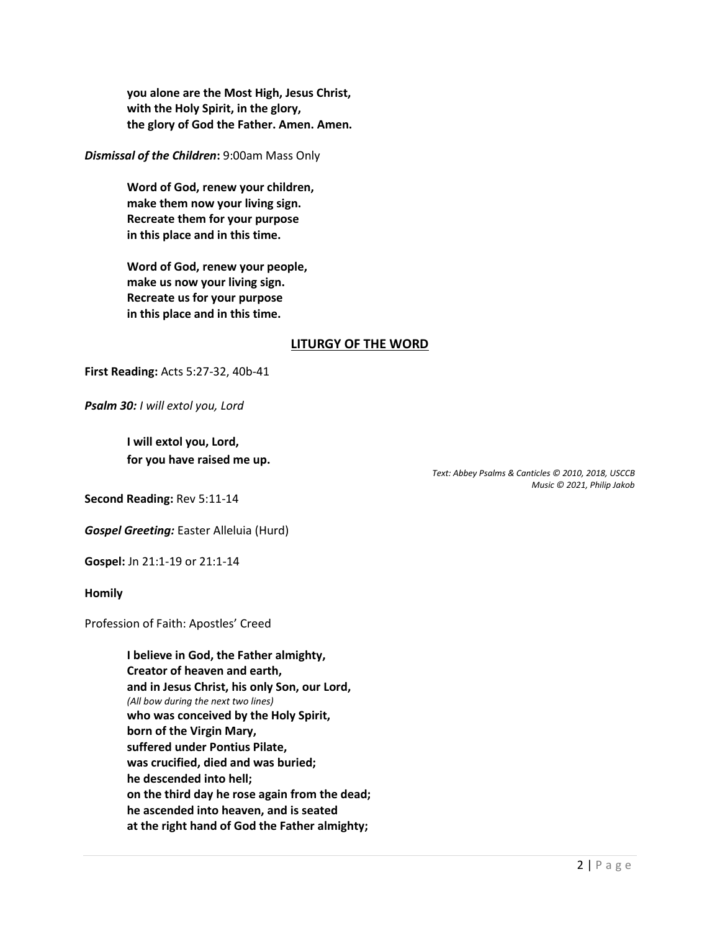**you alone are the Most High, Jesus Christ, with the Holy Spirit, in the glory, the glory of God the Father. Amen. Amen.**

*Dismissal of the Children***:** 9:00am Mass Only

**Word of God, renew your children, make them now your living sign. Recreate them for your purpose in this place and in this time.**

**Word of God, renew your people, make us now your living sign. Recreate us for your purpose in this place and in this time.**

## **LITURGY OF THE WORD**

**First Reading:** Acts 5:27-32, 40b-41

*Psalm 30: I will extol you, Lord*

**I will extol you, Lord, for you have raised me up.**

> *Text: Abbey Psalms & Canticles © 2010, 2018, USCCB Music © 2021, Philip Jakob*

**Second Reading:** Rev 5:11-14

*Gospel Greeting:* Easter Alleluia (Hurd)

**Gospel:** Jn 21:1-19 or 21:1-14

**Homily**

Profession of Faith: Apostles' Creed

**I believe in God, the Father almighty, Creator of heaven and earth, and in Jesus Christ, his only Son, our Lord,** *(All bow during the next two lines)* **who was conceived by the Holy Spirit, born of the Virgin Mary, suffered under Pontius Pilate, was crucified, died and was buried; he descended into hell; on the third day he rose again from the dead; he ascended into heaven, and is seated at the right hand of God the Father almighty;**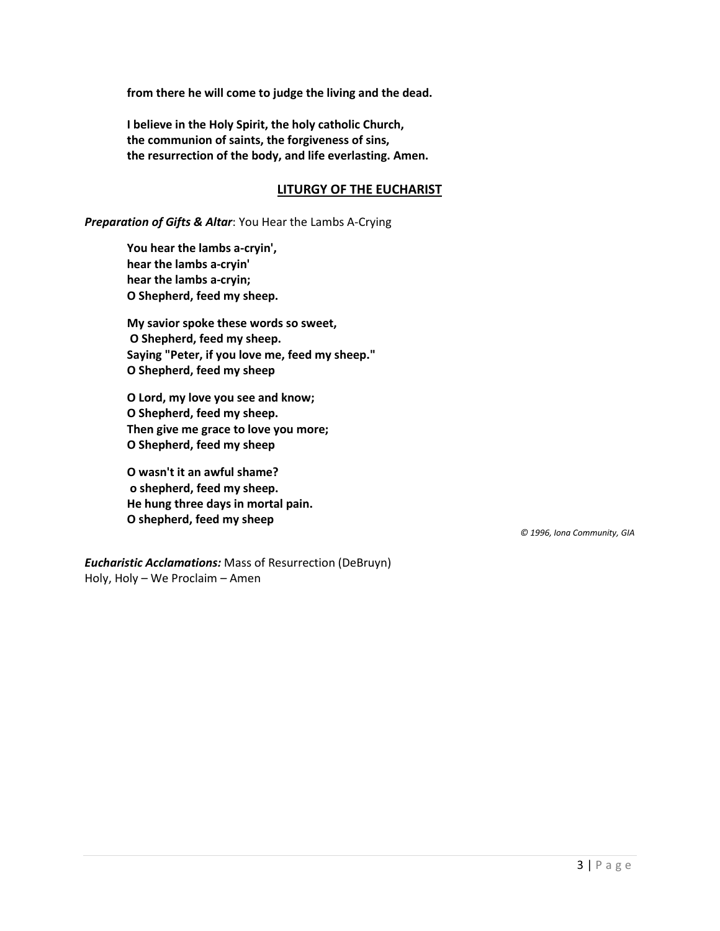**from there he will come to judge the living and the dead.**

**I believe in the Holy Spirit, the holy catholic Church, the communion of saints, the forgiveness of sins, the resurrection of the body, and life everlasting. Amen.**

### **LITURGY OF THE EUCHARIST**

*Preparation of Gifts & Altar*: You Hear the Lambs A-Crying

**You hear the lambs a-cryin', hear the lambs a-cryin' hear the lambs a-cryin; O Shepherd, feed my sheep.** 

**My savior spoke these words so sweet, O Shepherd, feed my sheep. Saying "Peter, if you love me, feed my sheep." O Shepherd, feed my sheep** 

**O Lord, my love you see and know; O Shepherd, feed my sheep. Then give me grace to love you more; O Shepherd, feed my sheep** 

**O wasn't it an awful shame? o shepherd, feed my sheep. He hung three days in mortal pain. O shepherd, feed my sheep**

*© 1996, Iona Community, GIA*

*Eucharistic Acclamations:* Mass of Resurrection (DeBruyn) Holy, Holy – We Proclaim – Amen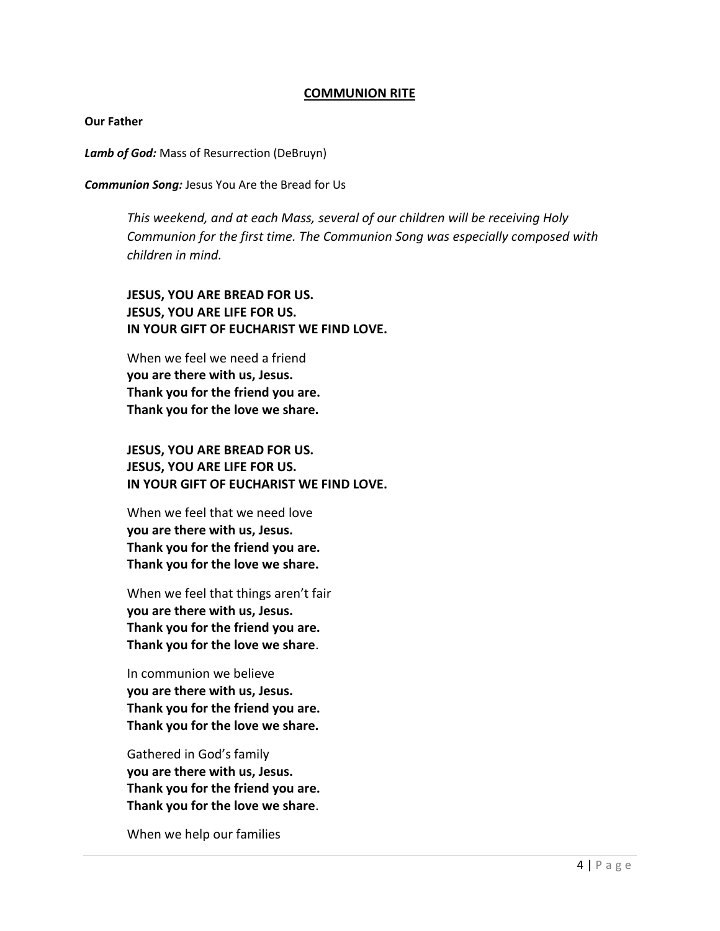### **COMMUNION RITE**

**Our Father**

*Lamb of God:* Mass of Resurrection (DeBruyn)

*Communion Song:* Jesus You Are the Bread for Us

*This weekend, and at each Mass, several of our children will be receiving Holy Communion for the first time. The Communion Song was especially composed with children in mind.*

**JESUS, YOU ARE BREAD FOR US. JESUS, YOU ARE LIFE FOR US. IN YOUR GIFT OF EUCHARIST WE FIND LOVE.**

When we feel we need a friend **you are there with us, Jesus. Thank you for the friend you are. Thank you for the love we share.**

**JESUS, YOU ARE BREAD FOR US. JESUS, YOU ARE LIFE FOR US. IN YOUR GIFT OF EUCHARIST WE FIND LOVE.**

When we feel that we need love **you are there with us, Jesus. Thank you for the friend you are. Thank you for the love we share.**

When we feel that things aren't fair **you are there with us, Jesus. Thank you for the friend you are. Thank you for the love we share**.

In communion we believe **you are there with us, Jesus. Thank you for the friend you are. Thank you for the love we share.**

Gathered in God's family **you are there with us, Jesus. Thank you for the friend you are. Thank you for the love we share**.

When we help our families